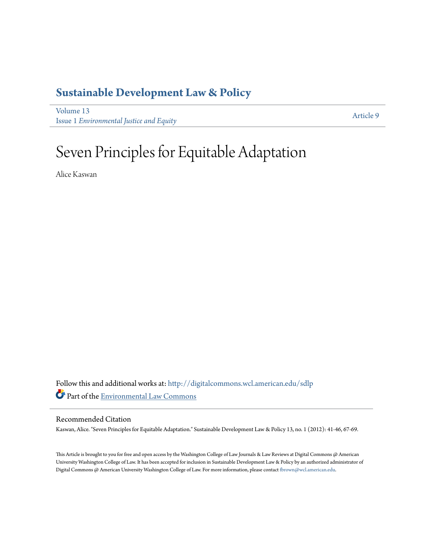## **[Sustainable Development Law & Policy](http://digitalcommons.wcl.american.edu/sdlp?utm_source=digitalcommons.wcl.american.edu%2Fsdlp%2Fvol13%2Fiss1%2F9&utm_medium=PDF&utm_campaign=PDFCoverPages)**

[Volume 13](http://digitalcommons.wcl.american.edu/sdlp/vol13?utm_source=digitalcommons.wcl.american.edu%2Fsdlp%2Fvol13%2Fiss1%2F9&utm_medium=PDF&utm_campaign=PDFCoverPages) Issue 1 *[Environmental Justice and Equity](http://digitalcommons.wcl.american.edu/sdlp/vol13/iss1?utm_source=digitalcommons.wcl.american.edu%2Fsdlp%2Fvol13%2Fiss1%2F9&utm_medium=PDF&utm_campaign=PDFCoverPages)*

[Article 9](http://digitalcommons.wcl.american.edu/sdlp/vol13/iss1/9?utm_source=digitalcommons.wcl.american.edu%2Fsdlp%2Fvol13%2Fiss1%2F9&utm_medium=PDF&utm_campaign=PDFCoverPages)

## Seven Principles for Equitable Adaptation

Alice Kaswan

Follow this and additional works at: [http://digitalcommons.wcl.american.edu/sdlp](http://digitalcommons.wcl.american.edu/sdlp?utm_source=digitalcommons.wcl.american.edu%2Fsdlp%2Fvol13%2Fiss1%2F9&utm_medium=PDF&utm_campaign=PDFCoverPages) Part of the [Environmental Law Commons](http://network.bepress.com/hgg/discipline/599?utm_source=digitalcommons.wcl.american.edu%2Fsdlp%2Fvol13%2Fiss1%2F9&utm_medium=PDF&utm_campaign=PDFCoverPages)

#### Recommended Citation

Kaswan, Alice. "Seven Principles for Equitable Adaptation." Sustainable Development Law & Policy 13, no. 1 (2012): 41-46, 67-69.

This Article is brought to you for free and open access by the Washington College of Law Journals & Law Reviews at Digital Commons @ American University Washington College of Law. It has been accepted for inclusion in Sustainable Development Law & Policy by an authorized administrator of Digital Commons @ American University Washington College of Law. For more information, please contact [fbrown@wcl.american.edu](mailto:fbrown@wcl.american.edu).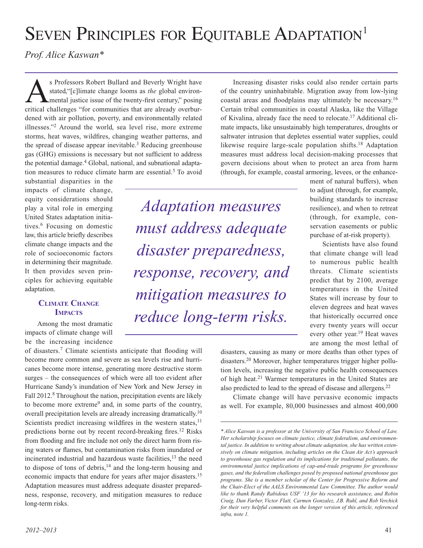# SEVEN PRINCIPLES FOR EQUITABLE ADAPTATION<sup>1</sup>

*Prof. Alice Kaswan\**

S Professors Robert Bullard and Beverly Wright have<br>stated, "[c]limate change looms as *the* global environ-<br>mental justice issue of the twenty-first century," posing<br>gritical challanges "for communities that are already o stated,"[c]limate change looms as *the* global environmental justice issue of the twenty-first century," posing critical challenges "for communities that are already overburdened with air pollution, poverty, and environmentally related illnesses."2 Around the world, sea level rise, more extreme storms, heat waves, wildfires, changing weather patterns, and the spread of disease appear inevitable.<sup>3</sup> Reducing greenhouse gas (GHG) emissions is necessary but not sufficient to address the potential damage.<sup>4</sup> Global, national, and subnational adaptation measures to reduce climate harm are essential.<sup>5</sup> To avoid

substantial disparities in the impacts of climate change, equity considerations should play a vital role in emerging United States adaptation initiatives.6 Focusing on domestic law, this article briefly describes climate change impacts and the role of socioeconomic factors in determining their magnitude. It then provides seven principles for achieving equitable adaptation.

#### **Climate Change Impacts**

Among the most dramatic impacts of climate change will be the increasing incidence

of disasters.7 Climate scientists anticipate that flooding will become more common and severe as sea levels rise and hurricanes become more intense, generating more destructive storm surges – the consequences of which were all too evident after Hurricane Sandy's inundation of New York and New Jersey in Fall 2012.<sup>8</sup> Throughout the nation, precipitation events are likely to become more extreme9 and, in some parts of the country, overall precipitation levels are already increasing dramatically.10 Scientists predict increasing wildfires in the western states,<sup>11</sup> predictions borne out by recent record-breaking fires.12 Risks from flooding and fire include not only the direct harm from rising waters or flames, but contamination risks from inundated or incinerated industrial and hazardous waste facilities,<sup>13</sup> the need to dispose of tons of debris,<sup>14</sup> and the long-term housing and economic impacts that endure for years after major disasters.15 Adaptation measures must address adequate disaster preparedness, response, recovery, and mitigation measures to reduce long-term risks.

Increasing disaster risks could also render certain parts of the country uninhabitable. Migration away from low-lying coastal areas and floodplains may ultimately be necessary.16 Certain tribal communities in coastal Alaska, like the Village of Kivalina, already face the need to relocate.17 Additional climate impacts, like unsustainably high temperatures, droughts or saltwater intrusion that depletes essential water supplies, could likewise require large-scale population shifts.18 Adaptation measures must address local decision-making processes that govern decisions about when to protect an area from harm (through, for example, coastal armoring, levees, or the enhance-

*Adaptation measures must address adequate disaster preparedness, response, recovery, and mitigation measures to reduce long-term risks.*

ment of natural buffers), when to adjust (through, for example, building standards to increase resilience), and when to retreat (through, for example, conservation easements or public purchase of at-risk property).

Scientists have also found that climate change will lead to numerous public health threats. Climate scientists predict that by 2100, average temperatures in the United States will increase by four to eleven degrees and heat waves that historically occurred once every twenty years will occur every other year.19 Heat waves are among the most lethal of

disasters, causing as many or more deaths than other types of disasters.20 Moreover, higher temperatures trigger higher pollution levels, increasing the negative public health consequences of high heat.<sup>21</sup> Warmer temperatures in the United States are also predicted to lead to the spread of disease and allergens.22

Climate change will have pervasive economic impacts as well. For example, 80,000 businesses and almost 400,000

*<sup>\*</sup> Alice Kaswan is a professor at the University of San Francisco School of Law. Her scholarship focuses on climate justice, climate federalism, and environmental justice. In addition to writing about climate adaptation, she has written extensively on climate mitigation, including articles on the Clean Air Act's approach to greenhouse gas regulation and its implications for traditional pollutants, the environmental justice implications of cap-and-trade programs for greenhouse gases, and the federalism challenges posed by proposed national greenhouse gas programs. She is a member scholar of the Center for Progressive Reform and the Chair-Elect of the AALS Environmental Law Committee. The author would like to thank Randy Rabidoux USF '13 for his research assistance, and Robin Craig, Dan Farber, Victor Flatt, Carmen Gonzalez, J.B. Ruhl, and Rob Verchick for their very helpful comments on the longer version of this article, referenced infra, note 1.*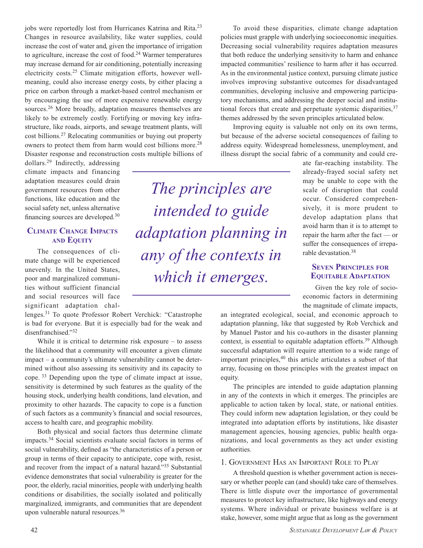jobs were reportedly lost from Hurricanes Katrina and Rita.<sup>23</sup> Changes in resource availability, like water supplies, could increase the cost of water and, given the importance of irrigation to agriculture, increase the cost of food.<sup>24</sup> Warmer temperatures may increase demand for air conditioning, potentially increasing electricity costs.25 Climate mitigation efforts, however wellmeaning, could also increase energy costs, by either placing a price on carbon through a market-based control mechanism or by encouraging the use of more expensive renewable energy sources.26 More broadly, adaptation measures themselves are likely to be extremely costly. Fortifying or moving key infrastructure, like roads, airports, and sewage treatment plants, will cost billions.27 Relocating communities or buying out property owners to protect them from harm would cost billions more.28 Disaster response and reconstruction costs multiple billions of

dollars.29 Indirectly, addressing climate impacts and financing adaptation measures could drain government resources from other functions, like education and the social safety net, unless alternative financing sources are developed.30

#### **Climate Change Impacts and Equity**

The consequences of climate change will be experienced unevenly. In the United States, poor and marginalized communities without sufficient financial and social resources will face significant adaptation chal-

lenges.31 To quote Professor Robert Verchick: "Catastrophe is bad for everyone. But it is especially bad for the weak and disenfranchised."32

While it is critical to determine risk exposure – to assess the likelihood that a community will encounter a given climate impact – a community's ultimate vulnerability cannot be determined without also assessing its sensitivity and its capacity to cope. 33 Depending upon the type of climate impact at issue, sensitivity is determined by such features as the quality of the housing stock, underlying health conditions, land elevation, and proximity to other hazards. The capacity to cope is a function of such factors as a community's financial and social resources, access to health care, and geographic mobility.

Both physical and social factors thus determine climate impacts.34 Social scientists evaluate social factors in terms of social vulnerability, defined as "the characteristics of a person or group in terms of their capacity to anticipate, cope with, resist, and recover from the impact of a natural hazard."35 Substantial evidence demonstrates that social vulnerability is greater for the poor, the elderly, racial minorities, people with underlying health conditions or disabilities, the socially isolated and politically marginalized, immigrants, and communities that are dependent upon vulnerable natural resources.36

*The principles are intended to guide adaptation planning in any of the contexts in which it emerges.*

To avoid these disparities, climate change adaptation policies must grapple with underlying socioeconomic inequities. Decreasing social vulnerability requires adaptation measures that both reduce the underlying sensitivity to harm and enhance impacted communities' resilience to harm after it has occurred. As in the environmental justice context, pursuing climate justice involves improving substantive outcomes for disadvantaged communities, developing inclusive and empowering participatory mechanisms, and addressing the deeper social and institutional forces that create and perpetuate systemic disparities,  $37$ themes addressed by the seven principles articulated below.

Improving equity is valuable not only on its own terms, but because of the adverse societal consequences of failing to address equity. Widespread homelessness, unemployment, and illness disrupt the social fabric of a community and could cre-

ate far-reaching instability. The already-frayed social safety net may be unable to cope with the scale of disruption that could occur. Considered comprehensively, it is more prudent to develop adaptation plans that avoid harm than it is to attempt to repair the harm after the fact — or suffer the consequences of irreparable devastation.<sup>38</sup>

#### **Seven Principles for Equitable Adaptation**

Given the key role of socioeconomic factors in determining the magnitude of climate impacts,

an integrated ecological, social, and economic approach to adaptation planning, like that suggested by Rob Verchick and by Manuel Pastor and his co-authors in the disaster planning context, is essential to equitable adaptation efforts.39 Although successful adaptation will require attention to a wide range of important principles, $40$  this article articulates a subset of that array, focusing on those principles with the greatest impact on equity.

The principles are intended to guide adaptation planning in any of the contexts in which it emerges. The principles are applicable to action taken by local, state, or national entities. They could inform new adaptation legislation, or they could be integrated into adaptation efforts by institutions, like disaster management agencies, housing agencies, public health organizations, and local governments as they act under existing authorities.

#### 1. Government Has an Important Role to Play

A threshold question is whether government action is necessary or whether people can (and should) take care of themselves. There is little dispute over the importance of governmental measures to protect key infrastructure, like highways and energy systems. Where individual or private business welfare is at stake, however, some might argue that as long as the government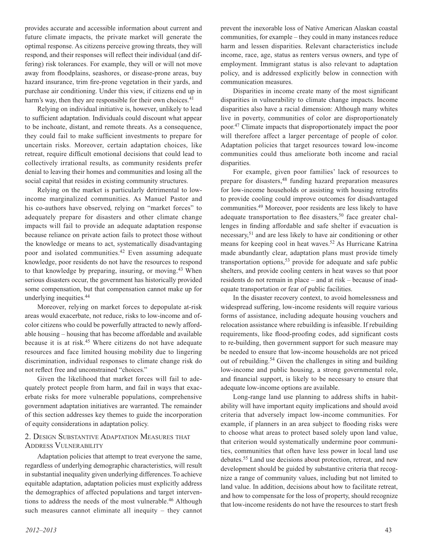provides accurate and accessible information about current and future climate impacts, the private market will generate the optimal response. As citizens perceive growing threats, they will respond, and their responses will reflect their individual (and differing) risk tolerances. For example, they will or will not move away from floodplains, seashores, or disease-prone areas, buy hazard insurance, trim fire-prone vegetation in their yards, and purchase air conditioning. Under this view, if citizens end up in harm's way, then they are responsible for their own choices.<sup>41</sup>

Relying on individual initiative is, however, unlikely to lead to sufficient adaptation. Individuals could discount what appear to be inchoate, distant, and remote threats. As a consequence, they could fail to make sufficient investments to prepare for uncertain risks. Moreover, certain adaptation choices, like retreat, require difficult emotional decisions that could lead to collectively irrational results, as community residents prefer denial to leaving their homes and communities and losing all the social capital that resides in existing community structures.

Relying on the market is particularly detrimental to lowincome marginalized communities. As Manuel Pastor and his co-authors have observed, relying on "market forces" to adequately prepare for disasters and other climate change impacts will fail to provide an adequate adaptation response because reliance on private action fails to protect those without the knowledge or means to act, systematically disadvantaging poor and isolated communities.42 Even assuming adequate knowledge, poor residents do not have the resources to respond to that knowledge by preparing, insuring, or moving.43 When serious disasters occur, the government has historically provided some compensation, but that compensation cannot make up for underlying inequities.44

Moreover, relying on market forces to depopulate at-risk areas would exacerbate, not reduce, risks to low-income and ofcolor citizens who could be powerfully attracted to newly affordable housing – housing that has become affordable and available because it is at risk.45 Where citizens do not have adequate resources and face limited housing mobility due to lingering discrimination, individual responses to climate change risk do not reflect free and unconstrained "choices."

Given the likelihood that market forces will fail to adequately protect people from harm, and fail in ways that exacerbate risks for more vulnerable populations, comprehensive government adaptation initiatives are warranted. The remainder of this section addresses key themes to guide the incorporation of equity considerations in adaptation policy.

#### 2. Design Substantive Adaptation Measures that Address Vulnerability

Adaptation policies that attempt to treat everyone the same, regardless of underlying demographic characteristics, will result in substantial inequality given underlying differences. To achieve equitable adaptation, adaptation policies must explicitly address the demographics of affected populations and target interventions to address the needs of the most vulnerable.<sup>46</sup> Although such measures cannot eliminate all inequity – they cannot prevent the inexorable loss of Native American Alaskan coastal communities, for example – they could in many instances reduce harm and lessen disparities. Relevant characteristics include income, race, age, status as renters versus owners, and type of employment. Immigrant status is also relevant to adaptation policy, and is addressed explicitly below in connection with communication measures.

Disparities in income create many of the most significant disparities in vulnerability to climate change impacts. Income disparities also have a racial dimension: Although many whites live in poverty, communities of color are disproportionately poor.47 Climate impacts that disproportionately impact the poor will therefore affect a larger percentage of people of color. Adaptation policies that target resources toward low-income communities could thus ameliorate both income and racial disparities.

For example, given poor families' lack of resources to prepare for disasters,48 funding hazard preparation measures for low-income households or assisting with housing retrofits to provide cooling could improve outcomes for disadvantaged communities.49 Moreover, poor residents are less likely to have adequate transportation to flee disasters,<sup>50</sup> face greater challenges in finding affordable and safe shelter if evacuation is necessary,51 and are less likely to have air conditioning or other means for keeping cool in heat waves.52 As Hurricane Katrina made abundantly clear, adaptation plans must provide timely transportation options,  $53$  provide for adequate and safe public shelters, and provide cooling centers in heat waves so that poor residents do not remain in place – and at risk – because of inadequate transportation or fear of public facilities.

In the disaster recovery context, to avoid homelessness and widespread suffering, low-income residents will require various forms of assistance, including adequate housing vouchers and relocation assistance where rebuilding is infeasible. If rebuilding requirements, like flood-proofing codes, add significant costs to re-building, then government support for such measure may be needed to ensure that low-income households are not priced out of rebuilding.54 Given the challenges in siting and building low-income and public housing, a strong governmental role, and financial support, is likely to be necessary to ensure that adequate low-income options are available.

Long-range land use planning to address shifts in habitability will have important equity implications and should avoid criteria that adversely impact low-income communities. For example, if planners in an area subject to flooding risks were to choose what areas to protect based solely upon land value, that criterion would systematically undermine poor communities, communities that often have less power in local land use debates.55 Land use decisions about protection, retreat, and new development should be guided by substantive criteria that recognize a range of community values, including but not limited to land value. In addition, decisions about how to facilitate retreat, and how to compensate for the loss of property, should recognize that low-income residents do not have the resources to start fresh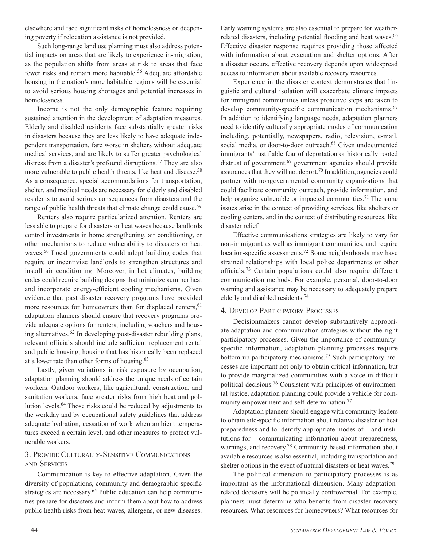elsewhere and face significant risks of homelessness or deepening poverty if relocation assistance is not provided.

Such long-range land use planning must also address potential impacts on areas that are likely to experience in-migration, as the population shifts from areas at risk to areas that face fewer risks and remain more habitable.<sup>56</sup> Adequate affordable housing in the nation's more habitable regions will be essential to avoid serious housing shortages and potential increases in homelessness.

Income is not the only demographic feature requiring sustained attention in the development of adaptation measures. Elderly and disabled residents face substantially greater risks in disasters because they are less likely to have adequate independent transportation, fare worse in shelters without adequate medical services, and are likely to suffer greater psychological distress from a disaster's profound disruptions.<sup>57</sup> They are also more vulnerable to public health threats, like heat and disease.<sup>58</sup> As a consequence, special accommodations for transportation, shelter, and medical needs are necessary for elderly and disabled residents to avoid serious consequences from disasters and the range of public health threats that climate change could cause.<sup>59</sup>

Renters also require particularized attention. Renters are less able to prepare for disasters or heat waves because landlords control investments in home strengthening, air conditioning, or other mechanisms to reduce vulnerability to disasters or heat waves.<sup>60</sup> Local governments could adopt building codes that require or incentivize landlords to strengthen structures and install air conditioning. Moreover, in hot climates, building codes could require building designs that minimize summer heat and incorporate energy-efficient cooling mechanisms. Given evidence that past disaster recovery programs have provided more resources for homeowners than for displaced renters,  $61$ adaptation planners should ensure that recovery programs provide adequate options for renters, including vouchers and housing alternatives. $62$  In developing post-disaster rebuilding plans, relevant officials should include sufficient replacement rental and public housing, housing that has historically been replaced at a lower rate than other forms of housing.63

Lastly, given variations in risk exposure by occupation, adaptation planning should address the unique needs of certain workers. Outdoor workers, like agricultural, construction, and sanitation workers, face greater risks from high heat and pollution levels.64 Those risks could be reduced by adjustments to the workday and by occupational safety guidelines that address adequate hydration, cessation of work when ambient temperatures exceed a certain level, and other measures to protect vulnerable workers.

#### 3. Provide Culturally-Sensitive Communications and Services

Communication is key to effective adaptation. Given the diversity of populations, community and demographic-specific strategies are necessary.65 Public education can help communities prepare for disasters and inform them about how to address public health risks from heat waves, allergens, or new diseases. Early warning systems are also essential to prepare for weatherrelated disasters, including potential flooding and heat waves.<sup>66</sup> Effective disaster response requires providing those affected with information about evacuation and shelter options. After a disaster occurs, effective recovery depends upon widespread access to information about available recovery resources.

Experience in the disaster context demonstrates that linguistic and cultural isolation will exacerbate climate impacts for immigrant communities unless proactive steps are taken to develop community-specific communication mechanisms.<sup>67</sup> In addition to identifying language needs, adaptation planners need to identify culturally appropriate modes of communication including, potentially, newspapers, radio, television, e-mail, social media, or door-to-door outreach.<sup>68</sup> Given undocumented immigrants' justifiable fear of deportation or historically rooted distrust of government,<sup>69</sup> government agencies should provide assurances that they will not deport.70 In addition, agencies could partner with nongovernmental community organizations that could facilitate community outreach, provide information, and help organize vulnerable or impacted communities.<sup>71</sup> The same issues arise in the context of providing services, like shelters or cooling centers, and in the context of distributing resources, like disaster relief.

Effective communications strategies are likely to vary for non-immigrant as well as immigrant communities, and require location-specific assessments.72 Some neighborhoods may have strained relationships with local police departments or other officials.73 Certain populations could also require different communication methods. For example, personal, door-to-door warning and assistance may be necessary to adequately prepare elderly and disabled residents.74

#### 4. Develop Participatory Processes

Decisionmakers cannot develop substantively appropriate adaptation and communication strategies without the right participatory processes. Given the importance of communityspecific information, adaptation planning processes require bottom-up participatory mechanisms.75 Such participatory processes are important not only to obtain critical information, but to provide marginalized communities with a voice in difficult political decisions.76 Consistent with principles of environmental justice, adaptation planning could provide a vehicle for community empowerment and self-determination.<sup>77</sup>

Adaptation planners should engage with community leaders to obtain site-specific information about relative disaster or heat preparedness and to identify appropriate modes of – and institutions for – communicating information about preparedness, warnings, and recovery.<sup>78</sup> Community-based information about available resources is also essential, including transportation and shelter options in the event of natural disasters or heat waves.<sup>79</sup>

The political dimension to participatory processes is as important as the informational dimension. Many adaptationrelated decisions will be politically controversial. For example, planners must determine who benefits from disaster recovery resources. What resources for homeowners? What resources for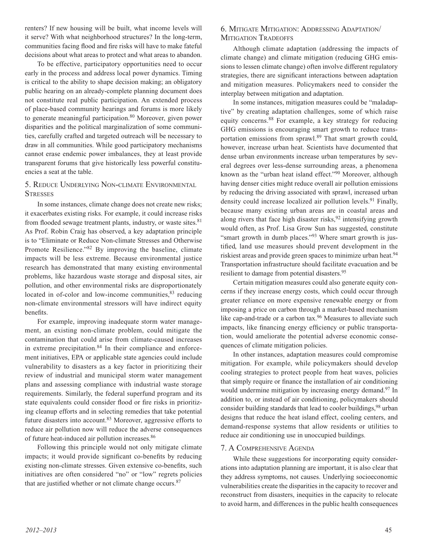renters? If new housing will be built, what income levels will it serve? With what neighborhood structures? In the long-term, communities facing flood and fire risks will have to make fateful decisions about what areas to protect and what areas to abandon.

To be effective, participatory opportunities need to occur early in the process and address local power dynamics. Timing is critical to the ability to shape decision making; an obligatory public hearing on an already-complete planning document does not constitute real public participation. An extended process of place-based community hearings and forums is more likely to generate meaningful participation.<sup>80</sup> Moreover, given power disparities and the political marginalization of some communities, carefully crafted and targeted outreach will be necessary to draw in all communities. While good participatory mechanisms cannot erase endemic power imbalances, they at least provide transparent forums that give historically less powerful constituencies a seat at the table.

#### 5. Reduce Underlying Non-climate Environmental **STRESSES**

In some instances, climate change does not create new risks; it exacerbates existing risks. For example, it could increase risks from flooded sewage treatment plants, industry, or waste sites.<sup>81</sup> As Prof. Robin Craig has observed, a key adaptation principle is to "Eliminate or Reduce Non-climate Stresses and Otherwise Promote Resilience."82 By improving the baseline, climate impacts will be less extreme. Because environmental justice research has demonstrated that many existing environmental problems, like hazardous waste storage and disposal sites, air pollution, and other environmental risks are disproportionately located in of-color and low-income communities, <sup>83</sup> reducing non-climate environmental stressors will have indirect equity benefits.

For example, improving inadequate storm water management, an existing non-climate problem, could mitigate the contamination that could arise from climate-caused increases in extreme precipitation. $84$  In their compliance and enforcement initiatives, EPA or applicable state agencies could include vulnerability to disasters as a key factor in prioritizing their review of industrial and municipal storm water management plans and assessing compliance with industrial waste storage requirements. Similarly, the federal superfund program and its state equivalents could consider flood or fire risks in prioritizing cleanup efforts and in selecting remedies that take potential future disasters into account. $85$  Moreover, aggressive efforts to reduce air pollution now will reduce the adverse consequences of future heat-induced air pollution increases.86

Following this principle would not only mitigate climate impacts; it would provide significant co-benefits by reducing existing non-climate stresses. Given extensive co-benefits, such initiatives are often considered "no" or "low" regrets policies that are justified whether or not climate change occurs.<sup>87</sup>

#### 6. Mitigate Mitigation: Addressing Adaptation/ MITIGATION TRADEOFFS

Although climate adaptation (addressing the impacts of climate change) and climate mitigation (reducing GHG emissions to lessen climate change) often involve different regulatory strategies, there are significant interactions between adaptation and mitigation measures. Policymakers need to consider the interplay between mitigation and adaptation.

In some instances, mitigation measures could be "maladaptive" by creating adaptation challenges, some of which raise equity concerns.88 For example, a key strategy for reducing GHG emissions is encouraging smart growth to reduce transportation emissions from sprawl.89 That smart growth could, however, increase urban heat. Scientists have documented that dense urban environments increase urban temperatures by several degrees over less-dense surrounding areas, a phenomena known as the "urban heat island effect."90 Moreover, although having denser cities might reduce overall air pollution emissions by reducing the driving associated with sprawl, increased urban density could increase localized air pollution levels.<sup>91</sup> Finally, because many existing urban areas are in coastal areas and along rivers that face high disaster risks,  $92$  intensifying growth would often, as Prof. Lisa Grow Sun has suggested, constitute "smart growth in dumb places."<sup>93</sup> Where smart growth is justified, land use measures should prevent development in the riskiest areas and provide green spaces to minimize urban heat.<sup>94</sup> Transportation infrastructure should facilitate evacuation and be resilient to damage from potential disasters.95

Certain mitigation measures could also generate equity concerns if they increase energy costs, which could occur through greater reliance on more expensive renewable energy or from imposing a price on carbon through a market-based mechanism like cap-and-trade or a carbon tax.<sup>96</sup> Measures to alleviate such impacts, like financing energy efficiency or public transportation, would ameliorate the potential adverse economic consequences of climate mitigation policies.

In other instances, adaptation measures could compromise mitigation. For example, while policymakers should develop cooling strategies to protect people from heat waves, policies that simply require or finance the installation of air conditioning would undermine mitigation by increasing energy demand.<sup>97</sup> In addition to, or instead of air conditioning, policymakers should consider building standards that lead to cooler buildings,98 urban designs that reduce the heat island effect, cooling centers, and demand-response systems that allow residents or utilities to reduce air conditioning use in unoccupied buildings.

#### 7. A Comprehensive Agenda

While these suggestions for incorporating equity considerations into adaptation planning are important, it is also clear that they address symptoms, not causes. Underlying socioeconomic vulnerabilities create the disparities in the capacity to recover and reconstruct from disasters, inequities in the capacity to relocate to avoid harm, and differences in the public health consequences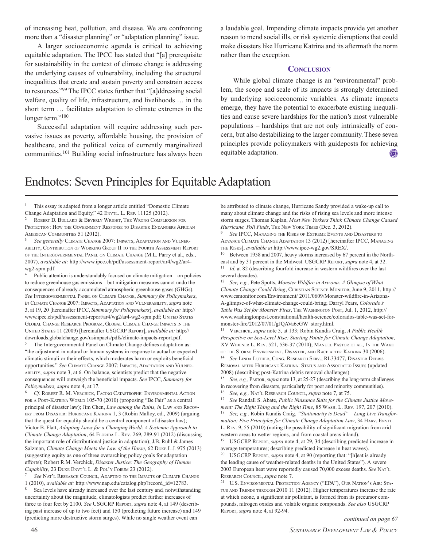of increasing heat, pollution, and disease. We are confronting more than a "disaster planning" or "adaptation planning" issue.

A larger socioeconomic agenda is critical to achieving equitable adaptation. The IPCC has stated that "[a] prerequisite for sustainability in the context of climate change is addressing the underlying causes of vulnerability, including the structural inequalities that create and sustain poverty and constrain access to resources."99 The IPCC states further that "[a]ddressing social welfare, quality of life, infrastructure, and livelihoods … in the short term … facilitates adaptation to climate extremes in the longer term."<sup>100</sup>

Successful adaptation will require addressing such pervasive issues as poverty, affordable housing, the provision of healthcare, and the political voice of currently marginalized communities.101 Building social infrastructure has always been a laudable goal. Impending climate impacts provide yet another reason to mend social ills, or risk systemic disruptions that could make disasters like Hurricane Katrina and its aftermath the norm rather than the exception.

#### **CONCLUSION**

While global climate change is an "environmental" problem, the scope and scale of its impacts is strongly determined by underlying socioeconomic variables. As climate impacts emerge, they have the potential to exacerbate existing inequalities and cause severe hardships for the nation's most vulnerable populations – hardships that are not only intrinsically of concern, but also destabilizing to the larger community. These seven principles provide policymakers with guideposts for achieving equitable adaptation. 100

### Endnotes: Seven Principles for Equitable Adaptation

<sup>1</sup> This essay is adapted from a longer article entitled "Domestic Climate Change Adaptation and Equity," 42 ENVTL. L. REP. 11125 (2012).

ROBERT D. BULLARD & BEVERLY WRIGHT, THE WRONG COMPLEXION FOR PROTECTION: HOW THE GOVERNMENT RESPONSE TO DISASTER ENDANGERS AFRICAN American Communities 51 (2012).

See generally CLIMATE CHANGE 2007: IMPACTS, ADAPTATION AND VULNER-ABILITY, CONTRIBUTION OF WORKING GROUP II TO THE FOURTH ASSESSMENT REPORT OF THE INTERGOVERNMENTAL PANEL ON CLIMATE CHANGE (M.L. Parry et al., eds., 2007), *available at:* http://www.ipcc.ch/pdf/assessment-report/ar4/wg2/ar4 wg2-spm.pdf.

Public attention is understandably focused on climate mitigation – on policies to reduce greenhouse gas emissions – but mitigation measures cannot undo the consequences of already-accumulated atmospheric greenhouse gases (GHGs). *See* Intergovernmental Panel on Climate Change, *Summary for Policymakers*, *in* CLIMATE CHANGE 2007: IMPACTS, ADAPTATION AND VULNERABILITY, *supra* note 3, at 19, 20 [hereinafter IPCC, *Summary for Policymakers*], *available at:* http:// www.ipcc.ch/pdf/assessment-report/ar4/wg2/ar4-wg2-spm.pdf; UNITED STATES GLOBAL CHANGE RESEARCH PROGRAM, GLOBAL CLIMATE CHANGE IMPACTS IN THE UNITED STATES 11 (2009) [hereinafter USGCRP REPORT], *available at:* http:// downloads.globalchange.gov/usimpacts/pdfs/climate-impacts-report.pdf.

The Intergovernmental Panel on Climate Change defines adaptation as: "the adjustment in natural or human systems in response to actual or expected climatic stimuli or their effects, which moderates harm or exploits beneficial opportunities." See CLIMATE CHANGE 2007: IMPACTS, ADAPTATION AND VULNERability, *supra* note 3, at 6. On balance, scientists predict that the negative consequences will outweigh the beneficial impacts. *See* IPCC, *Summary for Policymakers, supra* note 4, at 17.

Cf. ROBERT R. M. VERCHICK, FACING CATASTROPHE: ENVIRONMENTAL ACTION FOR A POST-KATRINA WORLD 105-70 (2010) (proposing "Be Fair" as a central principal of disaster law); Jim Chen, *Law among the Ruins, in* LAW AND RECOV-ERY FROM DISASTER: HURRICANE KATRINA 1, 3 (Robin Malloy, ed., 2009) (arguing that the quest for equality should be a central component of disaster law); Victor B. Flatt, *Adapting Laws for a Changing World: A Systemic Approach to Climate Change Adaptation, 64 FLORIDA L. REV. 269, 289-91 (2012) (discussing* the important role of distributional justice in adaptation); J.B. Ruhl & James Salzman, *Climate Change Meets the Law of the Horse*, 62 DUKE L.J. 975 (2013) (suggesting equity as one of three overarching policy goals for adaptation efforts); Robert R.M. Verchick, *Disaster Justice: The Geography of Human Capability*, 23 DUKE ENVT'L L. & POL'Y FORUM 23 (2012).

See NAT'L RESEARCH COUNCIL, ADAPTING TO THE IMPACTS OF CLIMATE CHANGE 1 (2010), *available at:* http://www.nap.edu/catalog.php?record\_id=12783.

Sea levels have already increased over the last century and, notwithstanding uncertainty about the magnitude, climatologists predict further increases of three to four feet by 2100. *See* USGCRP Report, *supra* note 4, at 149 (describing past increase of up to two feet) and 150 (predicting future increase) and 149 (predicting more destructive storm surges). While no single weather event can

be attributed to climate change, Hurricane Sandy provided a wake-up call to many about climate change and the risks of rising sea levels and more intense storm surges. Thomas Kaplan, *Most New Yorkers Think Climate Change Caused* Hurricane, Poll Finds, THE NEW YORK TIMES (Dec. 3, 2012).

See IPCC, MANAGING THE RISKS OF EXTREME EVENTS AND DISASTERS TO ADVANCE CLIMATE CHANGE ADAPTATION 13 (2012) [hereinafter IPCC, MANAGING the Risks], *available at* http://www.ipcc-wg2.gov/SREX/.

<sup>10</sup> Between 1958 and 2007, heavy storms increased by 67 percent in the Northeast and by 31 percent in the Midwest. USGCRP Report, *supra* note 4, at 32. <sup>11</sup> *Id.* at 82 (describing fourfold increase in western wildfires over the last several decades).

<sup>12</sup> *See, e.g.,* Pete Spotts, *Monster Wildfire in Arizona: A Glimpse of What Climate Change Could Bring*, CHRISTIAN SCIENCE MONITOR, June 9, 2011, http:// www.csmonitor.com/Environment/ 2011/0609/Monster-wildfire-in-Arizona-A-glimpse-of-what-climate-change-could-bring; Darryl Fears, *Colorado's Table Was Set for Monster Fires*, The Washington Post, Jul. 1, 2012, http:// www.washingtonpost.com/national/health-science/colorados-table-was-set-formonster-fire/2012/07/01/gJQAVa6cGW\_story.html.

<sup>13</sup> VERCHICK, *supra* note 5, at 133; Robin Kundis Craig, *A Public Health Perspective on Sea-Level Rise: Starting Points for Climate Change Adaptation*, XV WIDENER L. REV. 521, 536-37 (2010); MANUEL PASTOR ET AL., IN THE WAKE OF THE STORM: ENVIRONMENT, DISASTER, AND RACE AFTER KATRINA 30 (2006). <sup>14</sup> See LINDA LUTHER, CONG. RESEARCH SERV., RL33477, DISASTER DEBRIS REMOVAL AFTER HURRICANE KATRINA: STATUS AND ASSOCIATED ISSUES (updated 2008) (describing post-Katrina debris removal challenges).

<sup>15</sup> *See, e.g.,* Pastor, *supra* note 13, at 25-27 (describing the long-term challenges in recovering from disasters, particularly for poor and minority communities). <sup>16</sup> *See, e.g.,* Nat'l Research Council, *supra* note 7, at 75.

<sup>17</sup> *See* Randall S. Abate, *Public Nuisance Suits for the Climate Justice Movement: The Right Thing and the Right Time*, 85 Wash. L. Rev. 197, 207 (2010). <sup>18</sup> *See, e.g.,* Robin Kundis Craig, *"Stationarity is Dead" – Long Live Transformation: Five Principles for Climate Change Adaptation Law*, 34 HARV. ENVTL. L. Rev. 9, 55 (2010) (noting the possibility of significant migration from arid

western areas to wetter regions, and from coastal areas inland). <sup>19</sup> USGCRP Report, *supra* note 4, at 29, 34 (describing predicted increase in average temperatures; describing predicted increase in heat waves).

<sup>20</sup> USGCRP Report, *supra* note 4, at 90 (reporting that: "[h]eat is already the leading cause of weather-related deaths in the United States"). A severe 2003 European heat wave reportedly caused 70,000 excess deaths. *See* Nat'l Research Council, *supra* note 7.

<sup>21</sup> U.S. ENVIRONMENTAL PROTECTION AGENCY ("EPA"), OUR NATION'S AIR: STA-TUS AND TRENDS THROUGH 2010 11 (2012). Higher temperatures increase the rate at which ozone, a significant air pollutant, is formed from its precursor compounds, nitrogen oxides and volatile organic compounds. *See also* USGCRP Report, *supra* note 4, at 92-94.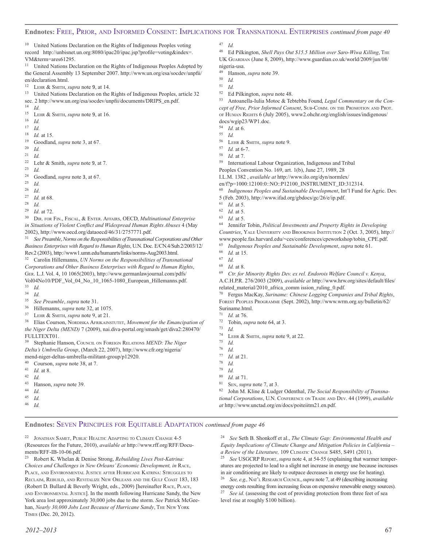#### **Endnotes:** Free, Prior, and Informed Consent: Implications for Transnational Enterprises *continued from page 40*

<sup>10</sup> United Nations Declaration on the Rights of Indigenous Peoples voting record http://unbisnet.un.org:8080/ipac20/ipac.jsp?profile=voting&index=. VM&term=ares61295.

<sup>11</sup> United Nations Declaration on the Rights of Indigenous Peoples Adopted by the General Assembly 13 September 2007. http://www.un.org/esa/socdev/unpfii/ en/declaration.html.

<sup>12</sup> Lehr & Smith, *supra* note 9, at 14.

<sup>13</sup> United Nations Declaration on the Rights of Indigenous Peoples, article 32 sec. 2 http://www.un.org/esa/socdev/unpfii/documents/DRIPS\_en.pdf.

 $\frac{14}{15}$  *Id.* 

<sup>15</sup> LEHR & SMITH, *supra* note 9, at 16.<br><sup>16</sup> Id

 $\frac{16}{17}$  *Id.* 

<sup>17</sup> *Id.*

 $\frac{18}{19}$  *Id.* at 15.

<sup>19</sup> Goodland, *supra* note 3, at 67.

 $\frac{20}{21}$  *Id.* 

<sup>21</sup> *Id.*

<sup>22</sup> Lehr & Smith, *supra* note 9, at 7.

 $\frac{23}{24}$  *Id.* 

 $^{24}$  Goodland, *supra* note 3, at 67.

 $\frac{25}{26}$  *Id.* 

 $rac{26}{27}$  *Id.* 

- *Id.* at 68.
- 
- $\frac{28}{29}$  *Id.*

 $^{29}$  *Id.* at 72. DIR. FOR FIN., FISCAL, & ENTER. AFFAIRS, OECD, *Multinational Enterprise in Situations of Violent Conflict and Widespread Human Rights Abuses* 4 (May 2002), http://www.oecd.org/dataoecd/46/31/2757771.pdf.

<sup>31</sup> *SeePreamble*,*Norms on the Responsibilities of Transnational Corporations and Other Business Enterprises with Regard to Human Rights*, U.N. Doc. E/CN.4/Sub.2/2003/12/ Rev.2 (2003), http://www1.umn.edu/humanrts/links/norms-Aug2003.html.

<sup>32</sup> Carolin Hillemanns, *UN Norms on the Responsibilities of Transnational Corporations and Other Business Enterprises with Regard to Human Rights*, Ger. L.J. Vol. 4, 10 1065(2003), http://www.germanlawjournal.com/pdfs/ Vol04No10/PDF\_Vol\_04\_No\_10\_1065-1080\_European\_Hillemanns.pdf.

- <sup>33</sup> *Id.*
- $\frac{34}{35}$  *Id.*
- <sup>35</sup> *See Preamble*, *supra* note 31.
- $^{36}$  Hillemanns, *supra* note 32, at 1075.<br> $^{37}$  LEUP & SMTH *supra* pote 9, at 21
- LEHR & SMITH, *supra* note 9, at 21.

<sup>38</sup> Elias Courson, NORDISKA AFRIKAINSTUTET, *Movement for the Emancipation of the Niger Delta (MEND)* 7 (2009), nai.diva-portal.org/smash/get/diva2:280470/

FULLTEXT01.

<sup>39</sup> Stephanie Hanson, Council on Foreign Relations *MEND: The Niger Delta's Umbrella Group*, (March 22, 2007), http://www.cfr.org/nigeria/ mend-niger-deltas-umbrella-militant-group/p12920.

- <sup>40</sup> Courson, *supra* note 38, at 7.<br><sup>41</sup> *Id* at 8
- $\frac{41}{42}$  *Id.* at 8.
- $\frac{42}{43}$  *Id.*
- <sup>43</sup> Hanson, *supra* note 39.
- $\frac{44}{45}$  *Id.*
- $\frac{45}{46}$  *Id.*
- <sup>46</sup> *Id.*

 $\frac{47}{48}$  *Id.*<br> $\frac{48}{6}$  Fd

<sup>48</sup> Ed Pilkington, *Shell Pays Out \$15.5 Million over Saro-Wiwa Killing*, The UK Guardian (June 8, 2009), http://www.guardian.co.uk/world/2009/jun/08/ nigeria-usa.

<sup>49</sup> Hanson, *supra* note 39.

 $\begin{array}{cc} 50 & Id. \\ 51 & Id. \end{array}$ 

- $\frac{51}{52}$  *Id.*
- <sup>52</sup> Ed Pilkington, *supra* note 48.

<sup>53</sup> Antoanella-Iulia Motoc & Tebtebba Found, *Legal Commentary on the Concept of Free, Prior Informed Consent*, Sub-Comm. on the Promotion and Prot. or HUMAN RIGHTS 6 (July 2005), www2.ohchr.org/english/issues/indigenous/ docs/wgip23/WP1.doc.

- $\frac{54}{55}$  *Id.* at 6.
- $\frac{55}{56}$  *Id.*
- $^{56}$  LEHR & SMITH, *supra* note 9.<br> $^{57}$  Ld at 6.7
- $\frac{57}{58}$  *Id.* at 6-7.
- *Id.* at 7.
- <sup>59</sup> International Labour Organization, Indigenous and Tribal

Peoples Convention No. 169, art. 1(b), June 27, 1989, 28

I.L.M. 1382 , *available at* http://www.ilo.org/dyn/normlex/

en/f?p=1000:12100:0::NO::P12100\_INSTRUMENT\_ID:312314.

<sup>60</sup> *Indigenous Peoples and Sustainable Development*, Int'l Fund for Agric. Dev. 5 (Feb. 2003), http://www.ifad.org/gbdocs/gc/26/e/ip.pdf.

 $\frac{62}{63}$  *Id.* at 5.

 $\frac{63}{64}$  *Id.* at 5. <sup>64</sup> Jennifer Tobin, *Political Investments and Property Rights in Developing Countries*, Yale University and Brookings Institution 2 (Oct. 3, 2005), http:// www.people.fas.harvard.edu/~ces/conferences/cpeworkshop/tobin\_CPE.pdf.

<sup>65</sup> *Indigenous Peoples and Sustainable Development*, *supra* note 61.

 $\frac{67}{68}$  *Id.* 

<sup>69</sup> *Ctr. for Minority Rights Dev. ex rel. Endorois Welfare Council v. Kenya*, A.C.H.P.R. 276/2003 (2009), *available at* http://www.hrw.org/sites/default/files/ related\_material/2010\_africa\_comm ission\_ruling\_0.pdf.

Fergus MacKay, Suriname: Chinese Logging Companies and Tribal Rights, Forest Peoples Programme (Sept. 2002), http://www.wrm.org.uy/bulletin/62/ Suriname.html.

 $^{72}$  Tobin, *supra* note 64, at 3.

- $\frac{73}{74}$  *Id.*
- <sup>74</sup> LEHR & SMITH, *supra* note 9, at 22.
- $\frac{75}{76}$  *Id.*
- <sup>76</sup> *Id.*
- $^{77}$  *Id.* at 21.
- $\frac{78}{79}$  *Id.*
- $\frac{79}{80}$  *Id.*
- $\frac{80}{81}$  *Id.* at 71.
- SEN, *supra* note 7, at 3.

<sup>82</sup> John M. Kline & Ludger Odenthal, *The Social Responsibility of Transnational Corporations*, U.N. Conference on Trade and Dev. 44 (1999), *available at* http://www.unctad.org/en/docs/poiteiitm21.en.pdf.

#### **Endnotes:** Seven Principles for Equitable Adaptation *continued from page 46*

 $22$  JONATHAN SAMET, PUBLIC HEALTH: ADAPTING TO CLIMATE CHANGE 4-5 (Resources for the Future, 2010), *available at* http://www.rff.org/RFF/Documents/RFF-IB-10-06.pdf.

<sup>23</sup> Robert K. Whelan & Denise Strong, *Rebuilding Lives Post-Katrina: Choices and Challenges in New Orleans' Economic Development, in* Race, Place, and Environmental Justice after Hurricane Katrina: Struggles to Reclaim, Rebuild, and Revitalize New Orleans and the Gulf Coast 183, 183 (Robert D. Bullard & Beverly Wright, eds., 2009) [hereinafter RACE, PLACE, and Environmental Justice]. In the month following Hurricane Sandy, the New York area lost approximately 30,000 jobs due to the storm. *See* Patrick McGeehan, *Nearly 30,000 Jobs Lost Because of Hurricane Sandy*, The New York Times (Dec. 20, 2012).

<sup>24</sup> *See* Seth B. Shonkoff et al., *The Climate Gap: Environmental Health and Equity Implications of Climate Change and Mitigation Policies in California – a Review of the Literature,* 109 Climatic Change S485, S491 (2011).

<sup>25</sup> *See* USGCRP Report, *supra* note 4, at 54-55 (explaining that warmer temperatures are projected to lead to a slight net increase in energy use because increases in air conditioning are likely to outpace decreases in energy use for heating).

See, e.g., NAT'L RESEARCH COUNCIL, *supra* note 7, at 49 (describing increasing energy costs resulting from increasing focus on expensive renewable energy sources). See id. (assessing the cost of providing protection from three feet of sea level rise at roughly \$100 billion).

 $\frac{61}{62}$  *Id.* at 5.

 $\frac{66}{67}$  *Id.* at 15.

 $\frac{68}{69}$  *Id.* at 8.

 $\frac{71}{72}$  *Id.* at 76.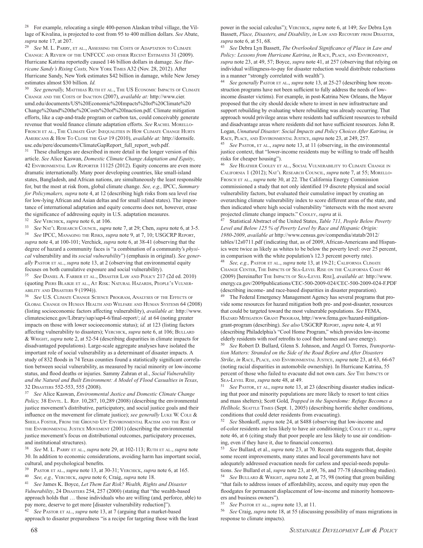<sup>28</sup> For example, relocating a single 400-person Alaskan tribal village, the Village of Kivalina, is projected to cost from 95 to 400 million dollars. *See* Abate, *supra* note 17, at 207.

<sup>29</sup> *See* M. L. Parry, et al., Assessing the Costs of Adaptation to Climate Change: A Review of the UNFCCC and other Recent Estimates 31 (2009). Hurricane Katrina reportedly caused 146 billion dollars in damage. *See Hurricane Sandy's Rising Costs,* New York Times A32 (Nov. 28, 2012). After Hurricane Sandy, New York estimates \$42 billion in damage, while New Jersey estimates almost \$30 billion. *Id.*

<sup>30</sup> *See generally,* Matthias Ruth et al., The US Economic Impacts of Climate Change and the Costs of Inaction (2007), *available at:* http://www.cier. umd.edu/documents/US%20Economic%20Impacts%20of%20Climate%20 Change%20and%20the%20Costs%20of%20Inaction.pdf. Climate mitigation efforts, like a cap-and-trade program or carbon tax, could conceivably generate revenue that would finance climate adaptation efforts. See RACHEL MORELLO-Frosch et al., The Climate Gap: Inequalities in How Climate Change Hurts Americans & How To Close the Gap 19 (2010), *available at:* http://dornsife. usc.edu/pere/documents/ClimateGapReport\_full\_report\_web.pdf.

<sup>31</sup> These challenges are described in more detail in the longer version of this article. *See* Alice Kaswan, *Domestic Climate Change Adaptation and Equity*, 42 Environmental Law Reporter 11125 (2012). Equity concerns are even more dramatic internationally. Many poor developing countries, like small-island states, Bangladesh, and African nations, are simultaneously the least responsible for, but the most at risk from, global climate change. *See, e.g.,* IPCC, *Summary for Policymakers, supra* note 4, at 12 (describing high risks from sea level rise for low-lying African and Asian deltas and for small island states). The importance of international adaptation and equity concerns does not, however, erase the significance of addressing equity in U.S. adaptation measures.

<sup>32</sup> *See* Verchick, *supra* note 6, at 106.

<sup>33</sup> *See* Nat'l Research Council, *supra* note 7, at 29; Chen, *supra* note 6, at 3-5. <sup>34</sup> *See* IPCC, Managing the Risks, *supra* note 9, at 7, 10; USGCRP Report, *supra* note 4, at 100-101; Verchick, *supra* note 6, at 38-41 (observing that the degree of hazard a community faces is "a combination of a community's *physical* vulnerability and its *social vulnerability*") (emphasis in original). *See gener*ally PASTOR ET AL., *supra* note 13, at 2 (observing that environmental equity focuses on both cumulative exposure and social vulnerability).

<sup>35</sup> *See* Daniel A. Farber et al., Disaster Law and Policy 217 (2d ed. 2010) (quoting Piers Blaikie et al., At Risk: Natural Hazards, People's Vulnerability and Disasters 9 (1994)).

<sup>36</sup> *See* U.S. Climate Change Science Program, Analyses of the Effects of Global Change on Human Health and Welfare and Human Systems 64 (2008) (listing socioeconomic factors affecting vulnerability), *available at:* http://www. climatescience.gov/Library/sap/sap4-6/final-report/; *id.* at 64 (noting greater impacts on those with lower socioeconomic status); *id.* at 123 (listing factors affecting vulnerability to disasters); VERCHICK, *supra* note 6, at 106; BULLARD & Wright, *supra* note 2, at 52-54 (describing disparities in climate impacts for disadvantaged populations). Large-scale aggregate analyses have isolated the important role of social vulnerability as a determinant of disaster impacts. A study of 832 floods in 74 Texas counties found a statistically significant correlation between social vulnerability, as measured by racial minority or low-income status, and flood deaths or injuries. Sammy Zahran et al., *Social Vulnerability and the Natural and Built Environment: A Model of Flood Casualties in Texas*, 32 Disasters 552-553, 555 (2008).

<sup>37</sup> *See* Alice Kaswan, *Environmental Justice and Domestic Climate Change Policy,* 38 ENVTL. L. REP. 10,287, 10,289 (2008) (describing the environmental justice movement's distributive, participatory, and social justice goals and their influence on the movement for climate justice); *see generally* LUKE W. COLE & Sheila Foster, From the Ground Up: Environmental Racism and the Rise of the Environmental Justice Movement (2001) (describing the environmental justice movement's focus on distributional outcomes, participatory processes, and institutional structures).

<sup>38</sup> *See* M. L. Parry et al., *supra* note 29, at 102-113; Ruth et al., *supra* note 30. In addition to economic considerations, avoiding harm has important social, cultural, and psychological benefits.

<sup>39</sup> Pastor et al., *supra* note 13, at 30-31; Verchick, *supra* note 6, at 165.

<sup>40</sup> *See, e.g.,* Verchick, *supra* note 6; Craig, *supra* note 18.

<sup>41</sup> *See* James K. Boyce, *Let Them Eat Risk? Wealth, Rights and Disaster Vulnerability*, 24 Disasters 254, 257 (2000) (stating that "the wealth-based approach holds that … those individuals who are willing (and, perforce, able) to pay more, deserve to get more [disaster vulnerability reduction]").

See PASTOR ET AL., *supra* note 13, at 7 (arguing that a market-based approach to disaster preparedness "is a recipe for targeting those with the least power in the social calculus"); Verchick, *supra* note 6, at 149; *See* Debra Lyn Bassett, *Place, Disasters, and Disability*, *in* Law and Recovery from Disaster, *supra* note 6, at 51, 68.

<sup>43</sup> *See* Debra Lyn Bassett, *The Overlooked Significance of Place in Law and Policy: Lessons from Hurricane Katrina*, *in* RACE, PLACE, AND ENVIRONMENT, *supra* note 23, at 49, 57; Boyce, *supra* note 41, at 257 (observing that relying on individual willingness-to-pay for disaster reduction would distribute reductions in a manner "strongly correlated with wealth").

<sup>44</sup> *See generally* Pastor et al., *supra* note 13, at 25-27 (describing how reconstruction programs have not been sufficient to fully address the needs of lowincome disaster victims). For example, in post-Katrina New Orleans, the Mayor proposed that the city should decide where to invest in new infrastructure and support rebuilding by evaluating where rebuilding was already occurring. That approach would privilege areas where residents had sufficient resources to rebuild and disadvantage areas where residents did not have sufficient resources. John R. Logan, *Unnatural Disaster: Social Impacts and Policy Choices After Katrina, in* Race, Place, and Environmental Justice, *supra* note 23, at 249, 257.

<sup>45</sup> *See* Pastor, et al., *supra* note 13, at 11 (observing, in the environmental justice context, that "lower-income residents may be willing to trade off health risks for cheaper housing").

<sup>46</sup> *See* Heather Cooley et al., Social Vulnerability to Climate Change in California 1 (2012); Nat'l Research Council, *supra* note 7, at 55; Morello-FROSCH ET AL., *supra* note 30, at 22. The California Energy Commission commissioned a study that not only identified 19 discrete physical and social vulnerability factors, but evaluated their cumulative impact by creating an overarching climate vulnerability index to score different areas of the state, and then indicated where high social vulnerability "intersects with the most severe projected climate change impacts." Cooley, *supra* at ii.

<sup>47</sup> Statistical Abstract of the United States, *Table 711, People Below Poverty Level and Below 125 % of Poverty Level by Race and Hispanic Origin: 1980-2009*, *available at* http://www.census.gov/compendia/statab/2012/ tables/12s0711.pdf (indicating that, as of 2009, African-Americans and Hispanics were twice as likely as whites to be below the poverty level: over 25 percent, in comparison with the white population's 12.3 percent poverty rate).

<sup>48</sup> *See, e.g.,* Pastor et al., *supra* note 13, at 19-21; California Climate Change Center, The Impacts of Sea-Level Rise on the California Coast 46 (2009) [hereinafter The Impacts of Sea-Level Rise], *available at:* http://www. energy.ca.gov/2009publications/CEC-500-2009-024/CEC-500-2009-024-F.PDF (describing income- and race-based disparities in disaster preparation).

<sup>49</sup> The Federal Emergency Management Agency has several programs that provide some resources for hazard mitigation both pre- and post-disaster, resources that could be targeted toward the most vulnerable populations. *See* FEMA, Hazard Mitigation Grant Program, http://www.fema.gov/hazard-mitigationgrant-program (describing). *See also* USGCRP Report, *supra* note 4, at 91 (describing Philadelphia's "Cool Home Program," which provides low-income elderly residents with roof retrofits to cool their homes and save energy).

<sup>50</sup> *See* Robert D. Bullard, Glenn S. Johnson, and Angel O. Torres, *Transportation Matters: Stranded on the Side of the Road Before and After Disasters Strike*, *in* Race, Place, and Environmental Justice, *supra* note 23, at 63, 66-67 (noting racial disparities in automobile ownership). In Hurricane Katrina, 55 percent of those who failed to evacuate did not own cars. See THE IMPACTS OF Sea-Level Rise, *supra* note 48, at 49.

<sup>51</sup> *See* Pastor, et al, *supra* note 13, at 23 (describing disaster studies indicating that poor and minority populations are more likely to resort to tent cities and mass shelters); Scott Gold, *Trapped in the Superdome: Refuge Becomes a*  Hellhole, SEATTLE TIMES (Sept. 1, 2005) (describing horrific shelter conditions, conditions that could deter residents from evacuating).

<sup>52</sup> *See* Shonkoff, *supra* note 24, at S488 (observing that low-income and of-color residents are less likely to have air conditioning); Cooley et al., *supra* note 46, at 6 (citing study that poor people are less likely to use air conditioning, even if they have it, due to financial concerns).

<sup>53</sup> *See* Bullard, et al., *supra* note 23, at 70. Recent data suggests that, despite some recent improvements, many states and local governments have not adequately addressed evacuation needs for carless and special-needs populations. *See* Bullard et al, *supra* note 23, at 69, 76, and 77-78 (describing studies). <sup>54</sup> *See* Bullard & Wright, *supra* note 2, at 75, 98 (noting that green building "that fails to address issues of affordability, access, and equity may open the floodgates for permanent displacement of low-income and minority homeowners and business owners").

<sup>55</sup> *See* Pastor et al., *supra* note 13, at 11.

<sup>56</sup> *See* Craig, *supra* note 18, at 55 (discussing possibility of mass migrations in response to climate impacts).